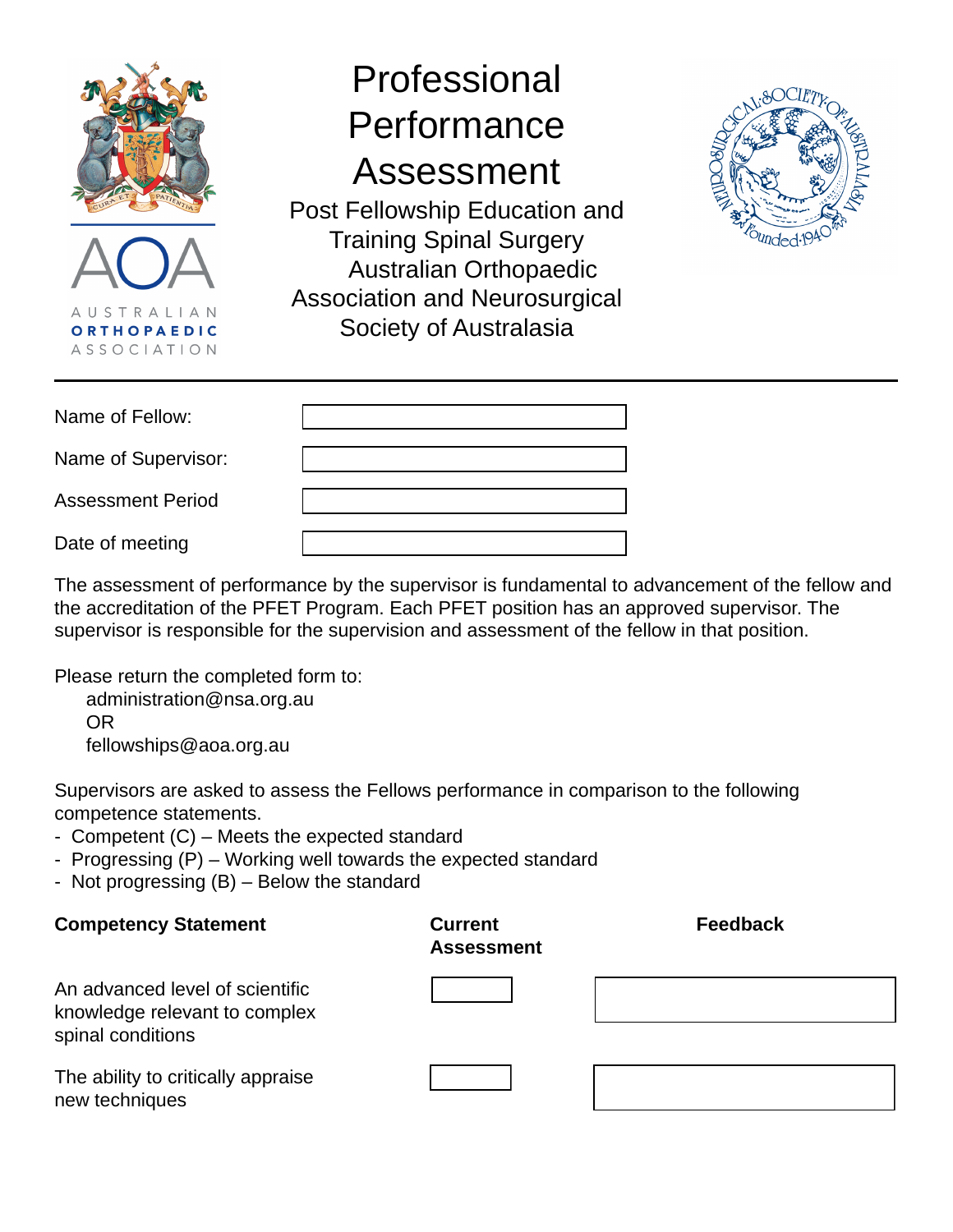

| Name of Fellow:          |  |
|--------------------------|--|
| Name of Supervisor:      |  |
| <b>Assessment Period</b> |  |
| Date of meeting          |  |

The assessment of performance by the supervisor is fundamental to advancement of the fellow and the accreditation of the PFET Program. Each PFET position has an approved supervisor. The supervisor is responsible for the supervision and assessment of the fellow in that position.

Please return the completed form to:

 administration@nsa.org.au OR fellowships@aoa.org.au

Supervisors are asked to assess the Fellows performance in comparison to the following competence statements.

- Competent (C) Meets the expected standard
- Progressing (P) Working well towards the expected standard
- Not progressing (B) Below the standard

**Competency Statement <b>Current Current Assessment Feedback** An advanced level of scientific knowledge relevant to complex spinal conditions The ability to critically appraise new techniques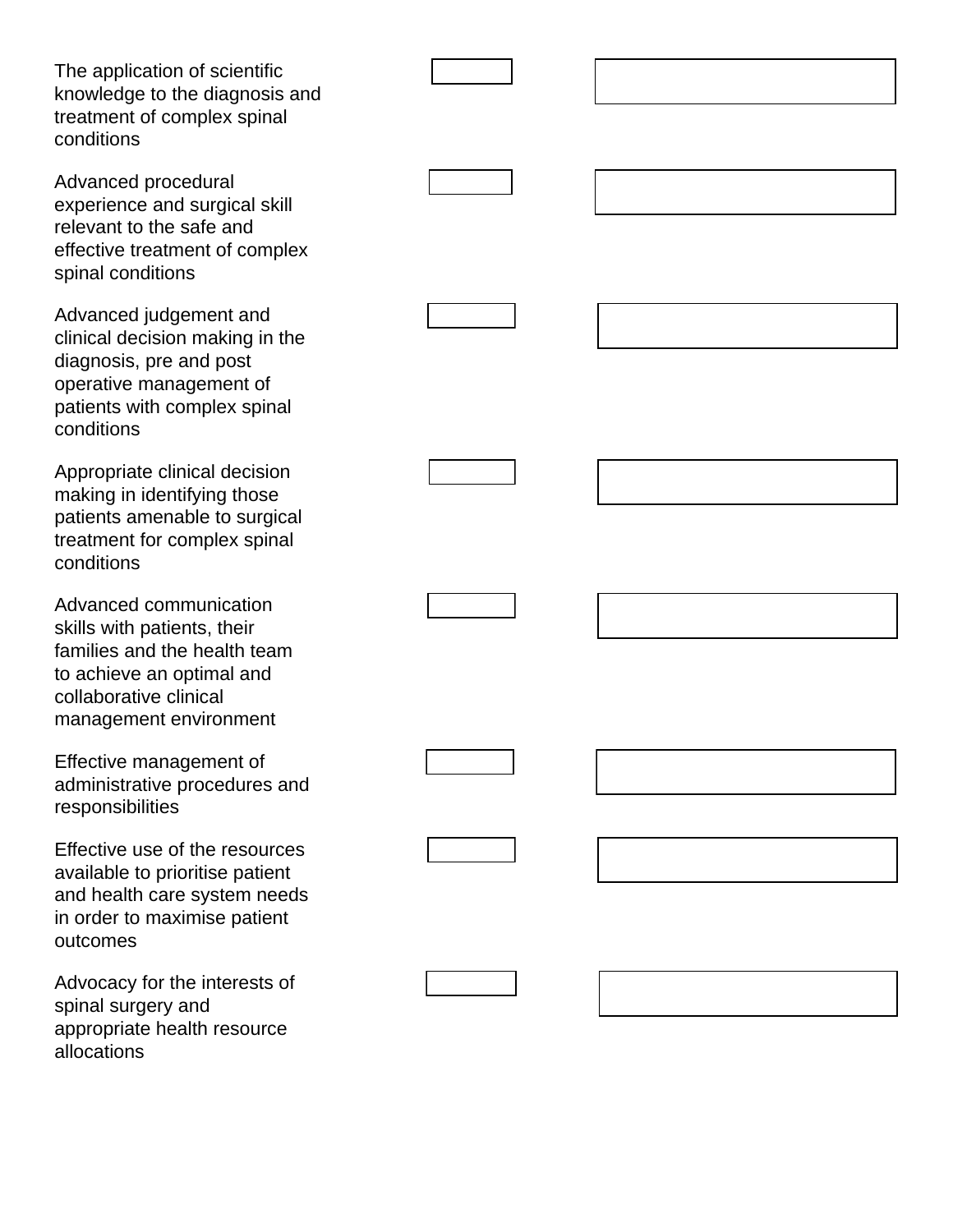The application of scientific knowledge to the diagnosis and treatment of complex spinal conditions

Advanced procedural experience and surgical skill relevant to the safe and effective treatment of complex spinal conditions

Advanced judgement and clinical decision making in the diagnosis, pre and post operative management of patients with complex spinal conditions

Appropriate clinical decision making in identifying those patients amenable to surgical treatment for complex spinal conditions

Advanced communication skills with patients, their families and the health team to achieve an optimal and collaborative clinical management environment

Effective management of administrative procedures and responsibilities

Effective use of the resources available to prioritise patient and health care system needs in order to maximise patient outcomes

Advocacy for the interests of spinal surgery and appropriate health resource allocations